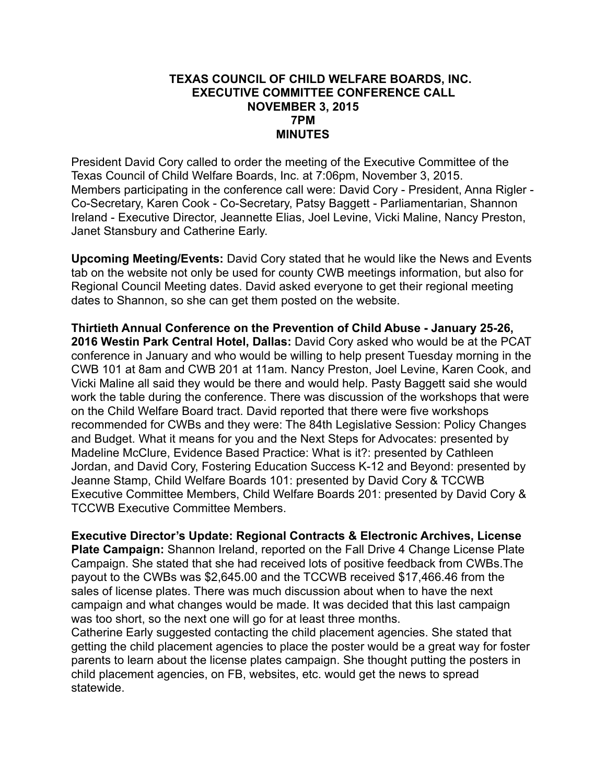## **TEXAS COUNCIL OF CHILD WELFARE BOARDS, INC. EXECUTIVE COMMITTEE CONFERENCE CALL NOVEMBER 3, 2015 7PM MINUTES**

President David Cory called to order the meeting of the Executive Committee of the Texas Council of Child Welfare Boards, Inc. at 7:06pm, November 3, 2015. Members participating in the conference call were: David Cory - President, Anna Rigler - Co-Secretary, Karen Cook - Co-Secretary, Patsy Baggett - Parliamentarian, Shannon Ireland - Executive Director, Jeannette Elias, Joel Levine, Vicki Maline, Nancy Preston, Janet Stansbury and Catherine Early.

**Upcoming Meeting/Events:** David Cory stated that he would like the News and Events tab on the website not only be used for county CWB meetings information, but also for Regional Council Meeting dates. David asked everyone to get their regional meeting dates to Shannon, so she can get them posted on the website.

**Thirtieth Annual Conference on the Prevention of Child Abuse - January 25-26, 2016 Westin Park Central Hotel, Dallas:** David Cory asked who would be at the PCAT conference in January and who would be willing to help present Tuesday morning in the CWB 101 at 8am and CWB 201 at 11am. Nancy Preston, Joel Levine, Karen Cook, and Vicki Maline all said they would be there and would help. Pasty Baggett said she would work the table during the conference. There was discussion of the workshops that were on the Child Welfare Board tract. David reported that there were five workshops recommended for CWBs and they were: The 84th Legislative Session: Policy Changes and Budget. What it means for you and the Next Steps for Advocates: presented by Madeline McClure, Evidence Based Practice: What is it?: presented by Cathleen Jordan, and David Cory, Fostering Education Success K-12 and Beyond: presented by Jeanne Stamp, Child Welfare Boards 101: presented by David Cory & TCCWB Executive Committee Members, Child Welfare Boards 201: presented by David Cory & TCCWB Executive Committee Members.

**Executive Director's Update: Regional Contracts & Electronic Archives, License Plate Campaign:** Shannon Ireland, reported on the Fall Drive 4 Change License Plate Campaign. She stated that she had received lots of positive feedback from CWBs.The payout to the CWBs was \$2,645.00 and the TCCWB received \$17,466.46 from the sales of license plates. There was much discussion about when to have the next campaign and what changes would be made. It was decided that this last campaign was too short, so the next one will go for at least three months.

Catherine Early suggested contacting the child placement agencies. She stated that getting the child placement agencies to place the poster would be a great way for foster parents to learn about the license plates campaign. She thought putting the posters in child placement agencies, on FB, websites, etc. would get the news to spread statewide.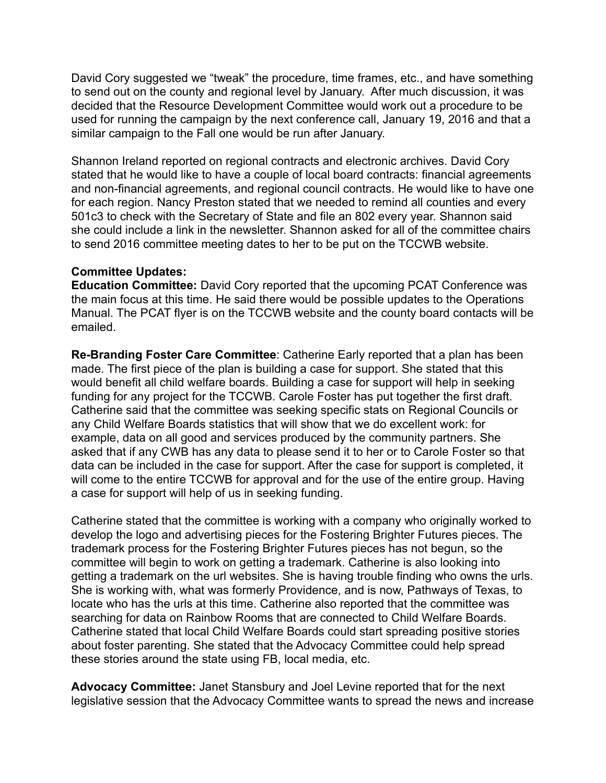David Cory suggested we "tweak" the procedure, time frames, etc., and have something to send out on the county and regional level by January. After much discussion, it was decided that the Resource Development Committee would work out a procedure to be used for running the campaign by the next conference call, January 19, 2016 and that a similar campaign to the Fall one would be run after January.

Shannon Ireland reported on regional contracts and electronic archives. David Cory stated that he would like to have a couple of local board contracts: financial agreements and non-financial agreements, and regional council contracts. He would like to have one for each region. Nancy Preston stated that we needed to remind all counties and every 501c3 to check with the Secretary of State and file an 802 every year. Shannon said she could include a link in the newsletter. Shannon asked for all of the committee chairs to send 2016 committee meeting dates to her to be put on the TCCWB website.

## **Committee Updates:**

**Education Committee:** David Cory reported that the upcoming PCAT Conference was the main focus at this time. He said there would be possible updates to the Operations Manual. The PCAT flyer is on the TCCWB website and the county board contacts will be emailed.

**Re-Branding Foster Care Committee**: Catherine Early reported that a plan has been made. The first piece of the plan is building a case for support. She stated that this would benefit all child welfare boards. Building a case for support will help in seeking funding for any project for the TCCWB. Carole Foster has put together the first draft. Catherine said that the committee was seeking specific stats on Regional Councils or any Child Welfare Boards statistics that will show that we do excellent work: for example, data on all good and services produced by the community partners. She asked that if any CWB has any data to please send it to her or to Carole Foster so that data can be included in the case for support. After the case for support is completed, it will come to the entire TCCWB for approval and for the use of the entire group. Having a case for support will help of us in seeking funding.

Catherine stated that the committee is working with a company who originally worked to develop the logo and advertising pieces for the Fostering Brighter Futures pieces. The trademark process for the Fostering Brighter Futures pieces has not begun, so the committee will begin to work on getting a trademark. Catherine is also looking into getting a trademark on the url websites. She is having trouble finding who owns the urls. She is working with, what was formerly Providence, and is now, Pathways of Texas, to locate who has the urls at this time. Catherine also reported that the committee was searching for data on Rainbow Rooms that are connected to Child Welfare Boards. Catherine stated that local Child Welfare Boards could start spreading positive stories about foster parenting. She stated that the Advocacy Committee could help spread these stories around the state using FB, local media, etc.

**Advocacy Committee:** Janet Stansbury and Joel Levine reported that for the next legislative session that the Advocacy Committee wants to spread the news and increase